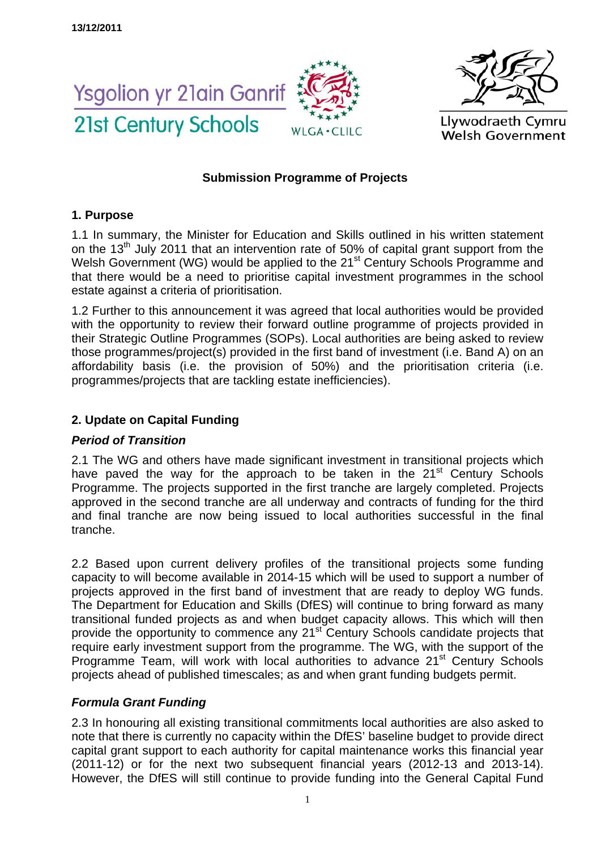



# **Submission Programme of Projects**

# **1. Purpose**

1.1 In summary, the Minister for Education and Skills outlined in his written statement on the 13<sup>th</sup> July 2011 that an intervention rate of 50% of capital grant support from the Welsh Government (WG) would be applied to the 21<sup>st</sup> Century Schools Programme and that there would be a need to prioritise capital investment programmes in the school estate against a criteria of prioritisation.

1.2 Further to this announcement it was agreed that local authorities would be provided with the opportunity to review their forward outline programme of projects provided in their Strategic Outline Programmes (SOPs). Local authorities are being asked to review those programmes/project(s) provided in the first band of investment (i.e. Band A) on an affordability basis (i.e. the provision of 50%) and the prioritisation criteria (i.e. programmes/projects that are tackling estate inefficiencies).

# **2. Update on Capital Funding**

### *Period of Transition*

2.1 The WG and others have made significant investment in transitional projects which have paved the way for the approach to be taken in the  $21<sup>st</sup>$  Century Schools Programme. The projects supported in the first tranche are largely completed. Projects approved in the second tranche are all underway and contracts of funding for the third and final tranche are now being issued to local authorities successful in the final tranche.

2.2 Based upon current delivery profiles of the transitional projects some funding capacity to will become available in 2014-15 which will be used to support a number of projects approved in the first band of investment that are ready to deploy WG funds. The Department for Education and Skills (DfES) will continue to bring forward as many transitional funded projects as and when budget capacity allows. This which will then provide the opportunity to commence any 21<sup>st</sup> Century Schools candidate projects that require early investment support from the programme. The WG, with the support of the Programme Team, will work with local authorities to advance 21<sup>st</sup> Century Schools projects ahead of published timescales; as and when grant funding budgets permit.

# *Formula Grant Funding*

2.3 In honouring all existing transitional commitments local authorities are also asked to note that there is currently no capacity within the DfES' baseline budget to provide direct capital grant support to each authority for capital maintenance works this financial year (2011-12) or for the next two subsequent financial years (2012-13 and 2013-14). However, the DfES will still continue to provide funding into the General Capital Fund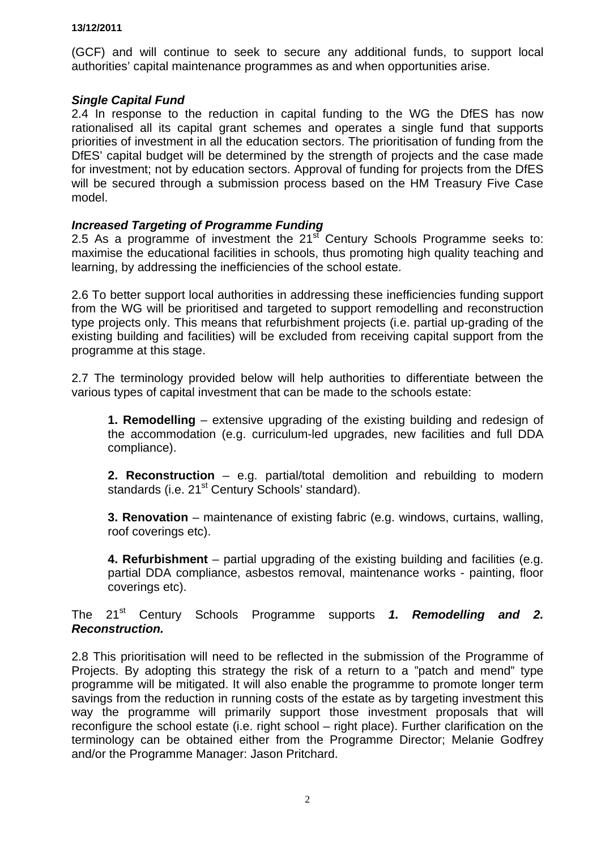(GCF) and will continue to seek to secure any additional funds, to support local authorities' capital maintenance programmes as and when opportunities arise.

### *Single Capital Fund*

2.4 In response to the reduction in capital funding to the WG the DfES has now rationalised all its capital grant schemes and operates a single fund that supports priorities of investment in all the education sectors. The prioritisation of funding from the DfES' capital budget will be determined by the strength of projects and the case made for investment; not by education sectors. Approval of funding for projects from the DfES will be secured through a submission process based on the HM Treasury Five Case model.

### *Increased Targeting of Programme Funding*

2.5 As a programme of investment the  $21<sup>st</sup>$  Century Schools Programme seeks to: maximise the educational facilities in schools, thus promoting high quality teaching and learning, by addressing the inefficiencies of the school estate.

2.6 To better support local authorities in addressing these inefficiencies funding support from the WG will be prioritised and targeted to support remodelling and reconstruction type projects only. This means that refurbishment projects (i.e. partial up-grading of the existing building and facilities) will be excluded from receiving capital support from the programme at this stage.

2.7 The terminology provided below will help authorities to differentiate between the various types of capital investment that can be made to the schools estate:

**1. Remodelling** – extensive upgrading of the existing building and redesign of the accommodation (e.g. curriculum-led upgrades, new facilities and full DDA compliance).

**2. Reconstruction** – e.g. partial/total demolition and rebuilding to modern standards (i.e. 21<sup>st</sup> Century Schools' standard).

**3. Renovation** – maintenance of existing fabric (e.g. windows, curtains, walling, roof coverings etc).

**4. Refurbishment** – partial upgrading of the existing building and facilities (e.g. partial DDA compliance, asbestos removal, maintenance works - painting, floor coverings etc).

The 21st Century Schools Programme supports *1. Remodelling and 2. Reconstruction.*

2.8 This prioritisation will need to be reflected in the submission of the Programme of Projects. By adopting this strategy the risk of a return to a "patch and mend" type programme will be mitigated. It will also enable the programme to promote longer term savings from the reduction in running costs of the estate as by targeting investment this way the programme will primarily support those investment proposals that will reconfigure the school estate (i.e. right school – right place). Further clarification on the terminology can be obtained either from the Programme Director; Melanie Godfrey and/or the Programme Manager: Jason Pritchard.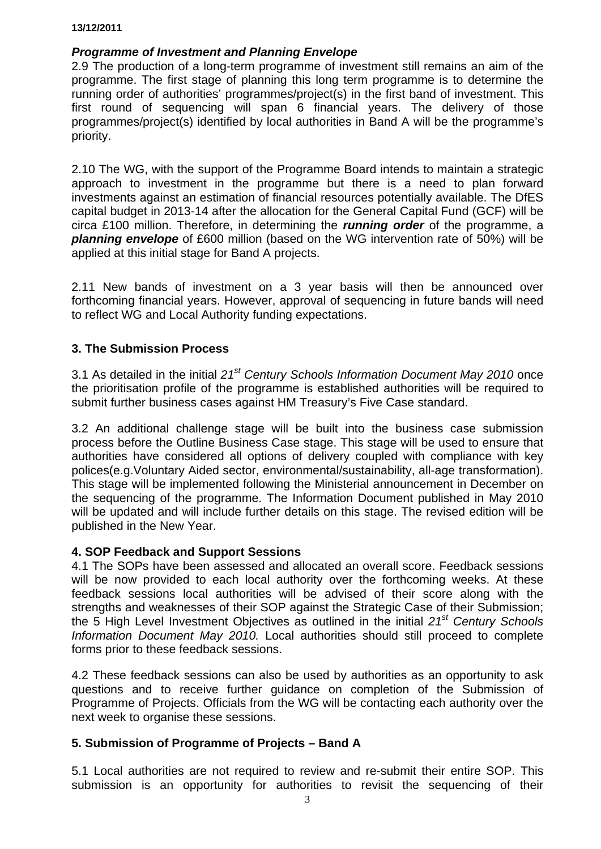### *Programme of Investment and Planning Envelope*

2.9 The production of a long-term programme of investment still remains an aim of the programme. The first stage of planning this long term programme is to determine the running order of authorities' programmes/project(s) in the first band of investment. This first round of sequencing will span 6 financial years. The delivery of those programmes/project(s) identified by local authorities in Band A will be the programme's priority.

2.10 The WG, with the support of the Programme Board intends to maintain a strategic approach to investment in the programme but there is a need to plan forward investments against an estimation of financial resources potentially available. The DfES capital budget in 2013-14 after the allocation for the General Capital Fund (GCF) will be circa £100 million. Therefore, in determining the *running order* of the programme, a *planning envelope* of £600 million (based on the WG intervention rate of 50%) will be applied at this initial stage for Band A projects.

2.11 New bands of investment on a 3 year basis will then be announced over forthcoming financial years. However, approval of sequencing in future bands will need to reflect WG and Local Authority funding expectations.

# **3. The Submission Process**

3.1 As detailed in the initial *21st Century Schools Information Document May 2010* once the prioritisation profile of the programme is established authorities will be required to submit further business cases against HM Treasury's Five Case standard.

3.2 An additional challenge stage will be built into the business case submission process before the Outline Business Case stage. This stage will be used to ensure that authorities have considered all options of delivery coupled with compliance with key polices(e.g.Voluntary Aided sector, environmental/sustainability, all-age transformation). This stage will be implemented following the Ministerial announcement in December on the sequencing of the programme. The Information Document published in May 2010 will be updated and will include further details on this stage. The revised edition will be published in the New Year.

### **4. SOP Feedback and Support Sessions**

4.1 The SOPs have been assessed and allocated an overall score. Feedback sessions will be now provided to each local authority over the forthcoming weeks. At these feedback sessions local authorities will be advised of their score along with the strengths and weaknesses of their SOP against the Strategic Case of their Submission; the 5 High Level Investment Objectives as outlined in the initial *21st Century Schools Information Document May 2010.* Local authorities should still proceed to complete forms prior to these feedback sessions.

4.2 These feedback sessions can also be used by authorities as an opportunity to ask questions and to receive further guidance on completion of the Submission of Programme of Projects. Officials from the WG will be contacting each authority over the next week to organise these sessions.

# **5. Submission of Programme of Projects – Band A**

5.1 Local authorities are not required to review and re-submit their entire SOP. This submission is an opportunity for authorities to revisit the sequencing of their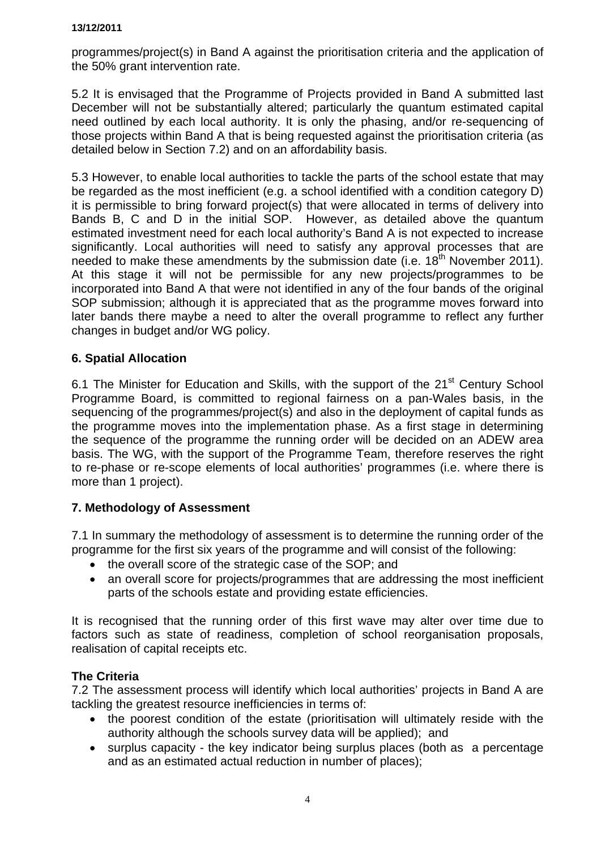programmes/project(s) in Band A against the prioritisation criteria and the application of the 50% grant intervention rate.

5.2 It is envisaged that the Programme of Projects provided in Band A submitted last December will not be substantially altered; particularly the quantum estimated capital need outlined by each local authority. It is only the phasing, and/or re-sequencing of those projects within Band A that is being requested against the prioritisation criteria (as detailed below in Section 7.2) and on an affordability basis.

5.3 However, to enable local authorities to tackle the parts of the school estate that may be regarded as the most inefficient (e.g. a school identified with a condition category D) it is permissible to bring forward project(s) that were allocated in terms of delivery into Bands B, C and D in the initial SOP. However, as detailed above the quantum estimated investment need for each local authority's Band A is not expected to increase significantly. Local authorities will need to satisfy any approval processes that are needed to make these amendments by the submission date (i.e.  $18<sup>th</sup>$  November 2011). At this stage it will not be permissible for any new projects/programmes to be incorporated into Band A that were not identified in any of the four bands of the original SOP submission; although it is appreciated that as the programme moves forward into later bands there maybe a need to alter the overall programme to reflect any further changes in budget and/or WG policy.

# **6. Spatial Allocation**

6.1 The Minister for Education and Skills, with the support of the 21<sup>st</sup> Century School Programme Board, is committed to regional fairness on a pan-Wales basis, in the sequencing of the programmes/project(s) and also in the deployment of capital funds as the programme moves into the implementation phase. As a first stage in determining the sequence of the programme the running order will be decided on an ADEW area basis. The WG, with the support of the Programme Team, therefore reserves the right to re-phase or re-scope elements of local authorities' programmes (i.e. where there is more than 1 project).

# **7. Methodology of Assessment**

7.1 In summary the methodology of assessment is to determine the running order of the programme for the first six years of the programme and will consist of the following:

- the overall score of the strategic case of the SOP; and
- an overall score for projects/programmes that are addressing the most inefficient parts of the schools estate and providing estate efficiencies.

It is recognised that the running order of this first wave may alter over time due to factors such as state of readiness, completion of school reorganisation proposals, realisation of capital receipts etc.

### **The Criteria**

7.2 The assessment process will identify which local authorities' projects in Band A are tackling the greatest resource inefficiencies in terms of:

- the poorest condition of the estate (prioritisation will ultimately reside with the authority although the schools survey data will be applied); and
- surplus capacity the key indicator being surplus places (both as a percentage and as an estimated actual reduction in number of places);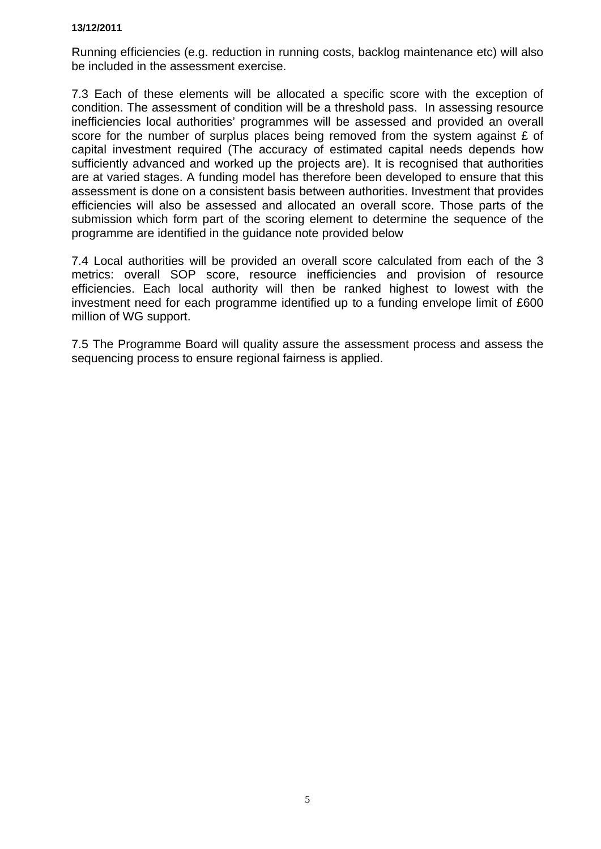Running efficiencies (e.g. reduction in running costs, backlog maintenance etc) will also be included in the assessment exercise.

7.3 Each of these elements will be allocated a specific score with the exception of condition. The assessment of condition will be a threshold pass. In assessing resource inefficiencies local authorities' programmes will be assessed and provided an overall score for the number of surplus places being removed from the system against  $E$  of capital investment required (The accuracy of estimated capital needs depends how sufficiently advanced and worked up the projects are). It is recognised that authorities are at varied stages. A funding model has therefore been developed to ensure that this assessment is done on a consistent basis between authorities. Investment that provides efficiencies will also be assessed and allocated an overall score. Those parts of the submission which form part of the scoring element to determine the sequence of the programme are identified in the guidance note provided below

7.4 Local authorities will be provided an overall score calculated from each of the 3 metrics: overall SOP score, resource inefficiencies and provision of resource efficiencies. Each local authority will then be ranked highest to lowest with the investment need for each programme identified up to a funding envelope limit of £600 million of WG support.

7.5 The Programme Board will quality assure the assessment process and assess the sequencing process to ensure regional fairness is applied.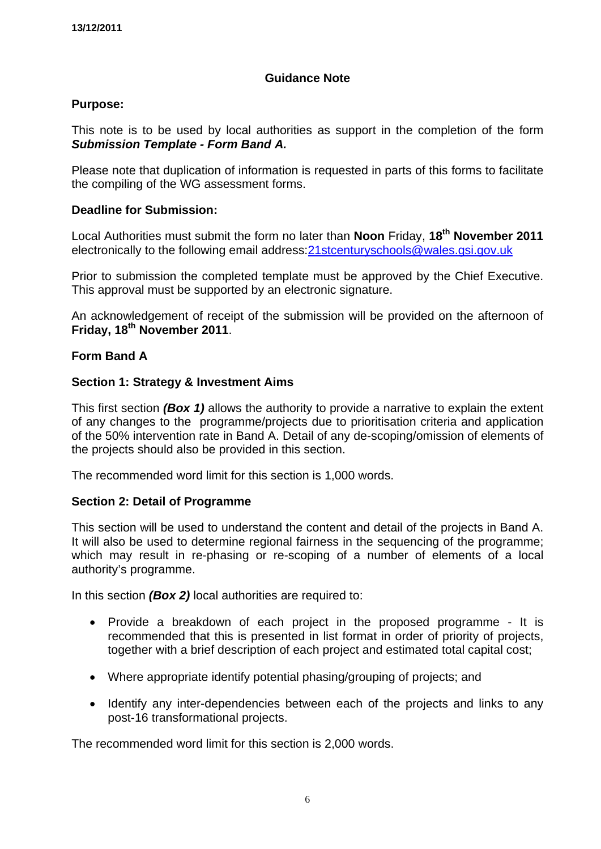# **Guidance Note**

# **Purpose:**

This note is to be used by local authorities as support in the completion of the form *Submission Template - Form Band A.* 

Please note that duplication of information is requested in parts of this forms to facilitate the compiling of the WG assessment forms.

# **Deadline for Submission:**

Local Authorities must submit the form no later than **Noon** Friday, **18th November 2011** electronically to the following email address[:21stcenturyschools@wales.gsi.gov.uk](mailto:21stcenturyschools@wales.gsi.gov.uk)

Prior to submission the completed template must be approved by the Chief Executive. This approval must be supported by an electronic signature.

An acknowledgement of receipt of the submission will be provided on the afternoon of **Friday, 18th November 2011**.

### **Form Band A**

# **Section 1: Strategy & Investment Aims**

This first section *(Box 1)* allows the authority to provide a narrative to explain the extent of any changes to the programme/projects due to prioritisation criteria and application of the 50% intervention rate in Band A. Detail of any de-scoping/omission of elements of the projects should also be provided in this section.

The recommended word limit for this section is 1,000 words.

### **Section 2: Detail of Programme**

This section will be used to understand the content and detail of the projects in Band A. It will also be used to determine regional fairness in the sequencing of the programme; which may result in re-phasing or re-scoping of a number of elements of a local authority's programme.

In this section *(Box 2)* local authorities are required to:

- Provide a breakdown of each project in the proposed programme It is recommended that this is presented in list format in order of priority of projects, together with a brief description of each project and estimated total capital cost;
- Where appropriate identify potential phasing/grouping of projects; and
- Identify any inter-dependencies between each of the projects and links to any post-16 transformational projects.

The recommended word limit for this section is 2,000 words.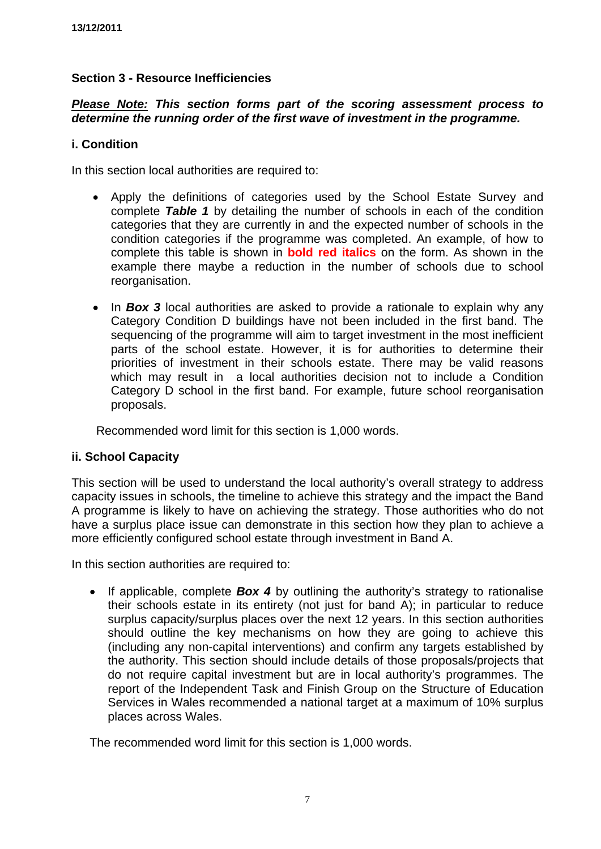# **Section 3 - Resource Inefficiencies**

# *Please Note: This section forms part of the scoring assessment process to determine the running order of the first wave of investment in the programme.*

### **i. Condition**

In this section local authorities are required to:

- Apply the definitions of categories used by the School Estate Survey and complete *Table 1* by detailing the number of schools in each of the condition categories that they are currently in and the expected number of schools in the condition categories if the programme was completed. An example, of how to complete this table is shown in **bold red italics** on the form. As shown in the example there maybe a reduction in the number of schools due to school reorganisation.
- In **Box 3** local authorities are asked to provide a rationale to explain why any Category Condition D buildings have not been included in the first band. The sequencing of the programme will aim to target investment in the most inefficient parts of the school estate. However, it is for authorities to determine their priorities of investment in their schools estate. There may be valid reasons which may result in a local authorities decision not to include a Condition Category D school in the first band. For example, future school reorganisation proposals.

Recommended word limit for this section is 1,000 words.

### **ii. School Capacity**

This section will be used to understand the local authority's overall strategy to address capacity issues in schools, the timeline to achieve this strategy and the impact the Band A programme is likely to have on achieving the strategy. Those authorities who do not have a surplus place issue can demonstrate in this section how they plan to achieve a more efficiently configured school estate through investment in Band A.

In this section authorities are required to:

• If applicable, complete **Box 4** by outlining the authority's strategy to rationalise their schools estate in its entirety (not just for band A); in particular to reduce surplus capacity/surplus places over the next 12 years. In this section authorities should outline the key mechanisms on how they are going to achieve this (including any non-capital interventions) and confirm any targets established by the authority. This section should include details of those proposals/projects that do not require capital investment but are in local authority's programmes. The report of the Independent Task and Finish Group on the Structure of Education Services in Wales recommended a national target at a maximum of 10% surplus places across Wales.

The recommended word limit for this section is 1,000 words.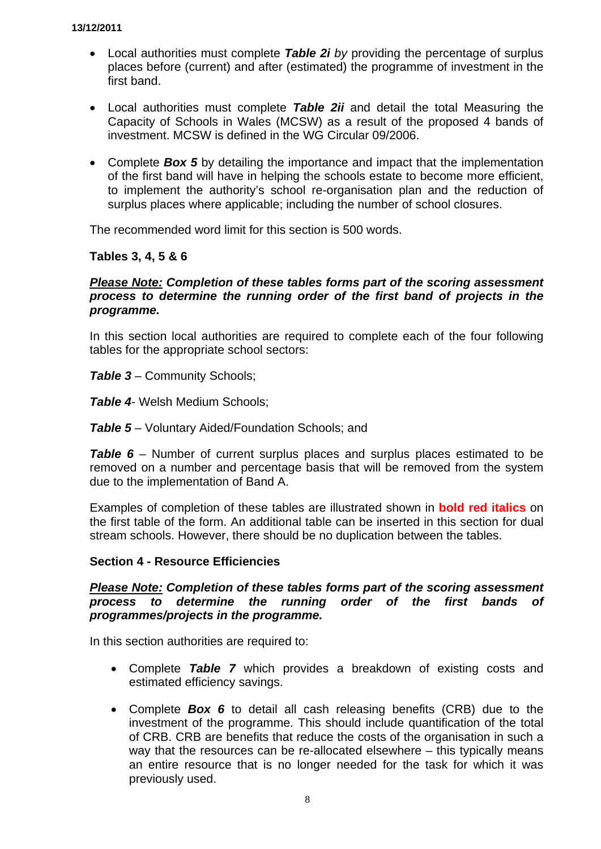- Local authorities must complete *Table 2i by* providing the percentage of surplus places before (current) and after (estimated) the programme of investment in the first band.
- Local authorities must complete *Table 2ii* and detail the total Measuring the Capacity of Schools in Wales (MCSW) as a result of the proposed 4 bands of investment. MCSW is defined in the WG Circular 09/2006.
- Complete **Box 5** by detailing the importance and impact that the implementation of the first band will have in helping the schools estate to become more efficient, to implement the authority's school re-organisation plan and the reduction of surplus places where applicable; including the number of school closures.

The recommended word limit for this section is 500 words.

**Tables 3, 4, 5 & 6** 

### *Please Note: Completion of these tables forms part of the scoring assessment process to determine the running order of the first band of projects in the programme.*

In this section local authorities are required to complete each of the four following tables for the appropriate school sectors:

*Table 3* – Community Schools;

*Table 4*- Welsh Medium Schools;

*Table 5* – Voluntary Aided/Foundation Schools; and

**Table 6** – Number of current surplus places and surplus places estimated to be removed on a number and percentage basis that will be removed from the system due to the implementation of Band A.

Examples of completion of these tables are illustrated shown in **bold red italics** on the first table of the form. An additional table can be inserted in this section for dual stream schools. However, there should be no duplication between the tables.

### **Section 4 - Resource Efficiencies**

### *Please Note: Completion of these tables forms part of the scoring assessment process to determine the running order of the first bands of programmes/projects in the programme.*

In this section authorities are required to:

- Complete *Table 7* which provides a breakdown of existing costs and estimated efficiency savings.
- Complete *Box 6* to detail all cash releasing benefits (CRB) due to the investment of the programme. This should include quantification of the total of CRB. CRB are benefits that reduce the costs of the organisation in such a way that the resources can be re-allocated elsewhere – this typically means an entire resource that is no longer needed for the task for which it was previously used.